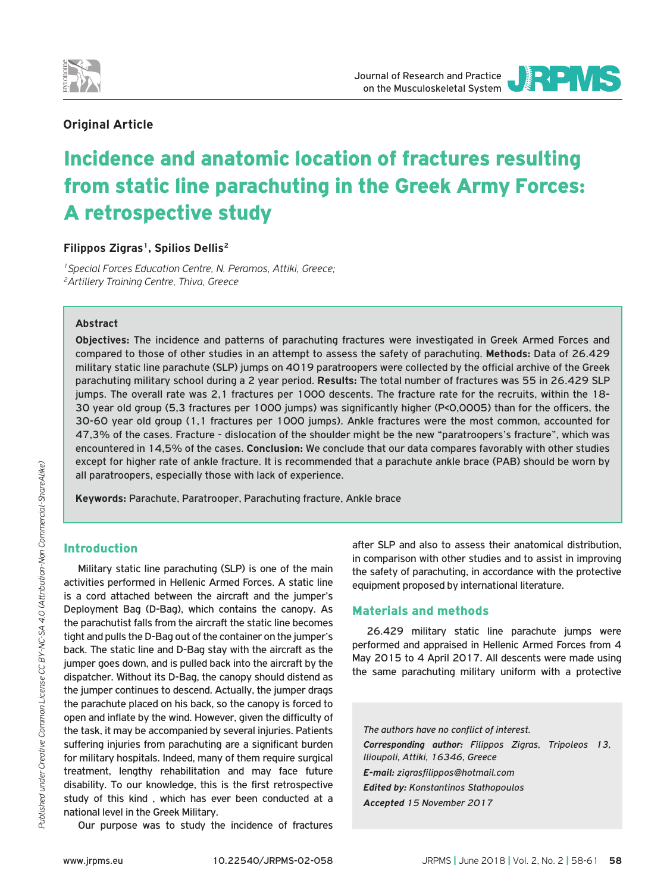



## **Οriginal Article**

# Incidence and anatomic location of fractures resulting from static line parachuting in the Greek Army Forces: A retrospective study

## **Filippos Zigras<sup>1</sup>, Spilios Dellis<sup>2</sup>**

*1Special Forces Education Centre, N. Peramos, Attiki, Greece; 2Artillery Training Centre, Thiva, Greece*

### **Abstract**

**Objectives:** The incidence and patterns of parachuting fractures were investigated in Greek Armed Forces and compared to those of other studies in an attempt to assess the safety of parachuting. **Methods:** Data of 26.429 military static line parachute (SLP) jumps on 4019 paratroopers were collected by the official archive of the Greek parachuting military school during a 2 year period. **Results:** The total number of fractures was 55 in 26.429 SLP jumps. The overall rate was 2,1 fractures per 1000 descents. The fracture rate for the recruits, within the 18- 30 year old group (5,3 fractures per 1000 jumps) was significantly higher (P<0,0005) than for the officers, the 30-60 year old group (1,1 fractures per 1000 jumps). Ankle fractures were the most common, accounted for 47,3% of the cases. Fracture - dislocation of the shoulder might be the new "paratroopers's fracture", which was encountered in 14,5% of the cases. **Conclusion:** We conclude that our data compares favorably with other studies except for higher rate of ankle fracture. It is recommended that a parachute ankle brace (PAB) should be worn by all paratroopers, especially those with lack of experience.

**Keywords:** Parachute, Paratrooper, Parachuting fracture, Ankle brace

## Introduction

Military static line parachuting (SLP) is one of the main activities performed in Hellenic Armed Forces. A static line is a cord attached between the aircraft and the jumper's Deployment Bag (D-Bag), which contains the canopy. As the parachutist falls from the aircraft the static line becomes tight and pulls the D-Bag out of the container on the jumper's back. The static line and D-Bag stay with the aircraft as the jumper goes down, and is pulled back into the aircraft by the dispatcher. Without its D-Bag, the canopy should distend as the jumper continues to descend. Actually, the jumper drags the parachute placed on his back, so the canopy is forced to open and inflate by the wind. However, given the difficulty of the task, it may be accompanied by several injuries. Patients suffering injuries from parachuting are a significant burden for military hospitals. Indeed, many of them require surgical treatment, lengthy rehabilitation and may face future disability. To our knowledge, this is the first retrospective study of this kind , which has ever been conducted at a national level in the Greek Military.

Our purpose was to study the incidence of fractures

after SLP and also to assess their anatomical distribution, in comparison with other studies and to assist in improving the safety of parachuting, in accordance with the protective equipment proposed by international literature.

### Materials and methods

26.429 military static line parachute jumps were performed and appraised in Hellenic Armed Forces from 4 May 2015 to 4 April 2017. All descents were made using the same parachuting military uniform with a protective

*The authors have no conflict of interest. Corresponding author: Filippos Zigras, Tripoleos 13, Ilioupoli, Attiki, 16346, Greece E-mail: zigrasfilippos@hotmail.com Edited by: Konstantinos Stathopoulos Accepted 15 November 2017*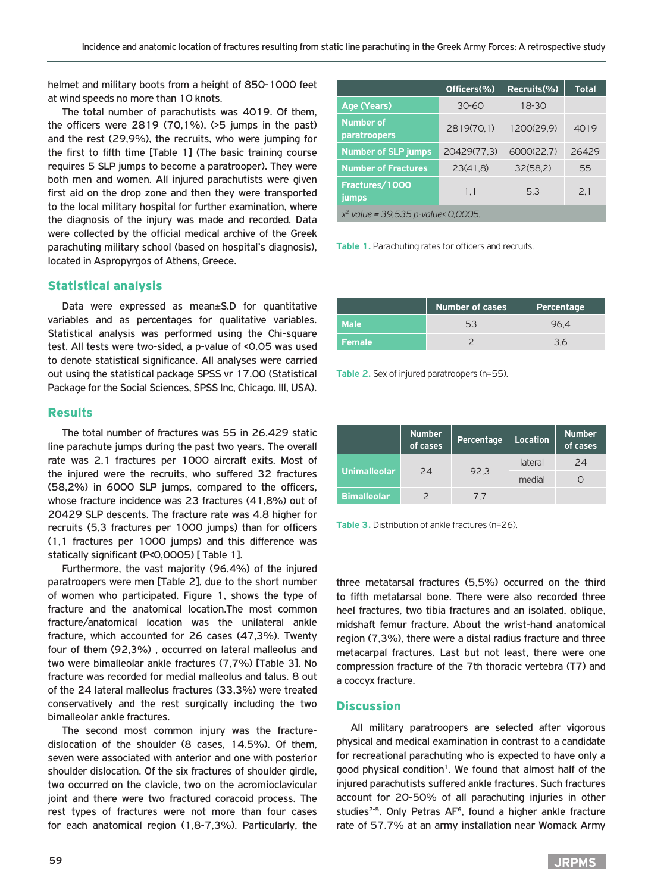helmet and military boots from a height of 850-1000 feet at wind speeds no more than 10 knots.

The total number of parachutists was 4019. Of them, the officers were 2819 (70,1%), (>5 jumps in the past) and the rest (29,9%), the recruits, who were jumping for the first to fifth time [Table 1] (The basic training course requires 5 SLP jumps to become a paratrooper). They were both men and women. All injured parachutists were given first aid on the drop zone and then they were transported to the local military hospital for further examination, where the diagnosis of the injury was made and recorded. Data were collected by the official medical archive of the Greek parachuting military school (based on hospital's diagnosis), located in Aspropyrgos of Athens, Greece.

## Statistical analysis

Data were expressed as mean±S.D for quantitative variables and as percentages for qualitative variables. Statistical analysis was performed using the Chi-square test. All tests were two-sided, a p-value of <0.05 was used to denote statistical significance. All analyses were carried out using the statistical package SPSS vr 17.00 (Statistical Package for the Social Sciences, SPSS Inc, Chicago, Ill, USA).

#### Results

The total number of fractures was 55 in 26.429 static line parachute jumps during the past two years. The overall rate was 2,1 fractures per 1000 aircraft exits. Most of the injured were the recruits, who suffered 32 fractures (58,2%) in 6000 SLP jumps, compared to the officers, whose fracture incidence was 23 fractures (41,8%) out of 20429 SLP descents. The fracture rate was 4.8 higher for recruits (5,3 fractures per 1000 jumps) than for officers (1,1 fractures per 1000 jumps) and this difference was statically significant (P<0,0005) [ Table 1].

Furthermore, the vast majority (96,4%) of the injured paratroopers were men [Table 2], due to the short number of women who participated. Figure 1, shows the type of fracture and the anatomical location.The most common fracture/anatomical location was the unilateral ankle fracture, which accounted for 26 cases (47,3%). Twenty four of them (92,3%) , occurred on lateral malleolus and two were bimalleolar ankle fractures (7,7%) [Table 3]. No fracture was recorded for medial malleolus and talus. 8 out of the 24 lateral malleolus fractures (33,3%) were treated conservatively and the rest surgically including the two bimalleolar ankle fractures.

The second most common injury was the fracturedislocation of the shoulder (8 cases, 14.5%). Of them, seven were associated with anterior and one with posterior shoulder dislocation. Of the six fractures of shoulder girdle, two occurred on the clavicle, two on the acromioclavicular joint and there were two fractured coracoid process. The rest types of fractures were not more than four cases for each anatomical region (1,8-7,3%). Particularly, the

|                                       | Officers(%) | Recruits(%) | <b>Total</b> |  |
|---------------------------------------|-------------|-------------|--------------|--|
| Age (Years)                           | $30 - 60$   | $18 - 30$   |              |  |
| <b>Number of</b><br>paratroopers      | 2819(70.1)  | 1200(29.9)  | 4019         |  |
| <b>Number of SLP jumps</b>            | 20429(77.3) | 6000(22.7)  | 26429        |  |
| <b>Number of Fractures</b>            | 23(41,8)    | 32(58,2)    | 55           |  |
| Fractures/1000<br>jumps               | 1.1         | 5.3         | 2.1          |  |
| $x^2$ value = 39,535 p-value< 0,0005. |             |             |              |  |

**Table 1.** Parachuting rates for officers and recruits.

|                     | <b>Number of cases</b><br>Percentage |      |
|---------------------|--------------------------------------|------|
| Male <sup>1</sup>   | 5.1                                  | 96 4 |
| Female <sup>1</sup> |                                      |      |

**Table 2.** Sex of injured paratroopers (n=55).

|                    | <b>Number</b><br>of cases | Percentage | <b>Location</b> | <b>Number</b><br>of cases |
|--------------------|---------------------------|------------|-----------------|---------------------------|
| Unimalleolar       | 24                        | 92.3       | lateral         | 24                        |
|                    |                           |            | medial          |                           |
| <b>Bimalleolar</b> |                           | 77         |                 |                           |

**Table 3.** Distribution of ankle fractures (n=26).

three metatarsal fractures (5,5%) occurred on the third to fifth metatarsal bone. There were also recorded three heel fractures, two tibia fractures and an isolated, oblique, midshaft femur fracture. About the wrist-hand anatomical region (7,3%), there were a distal radius fracture and three metacarpal fractures. Last but not least, there were one compression fracture of the 7th thoracic vertebra (T7) and a coccyx fracture.

#### **Discussion**

All military paratroopers are selected after vigorous physical and medical examination in contrast to a candidate for recreational parachuting who is expected to have only a good physical condition<sup>1</sup>. We found that almost half of the injured parachutists suffered ankle fractures. Such fractures account for 20-50% of all parachuting injuries in other studies<sup>2-5</sup>. Only Petras AF<sup>6</sup>, found a higher ankle fracture rate of 57.7% at an army installation near Womack Army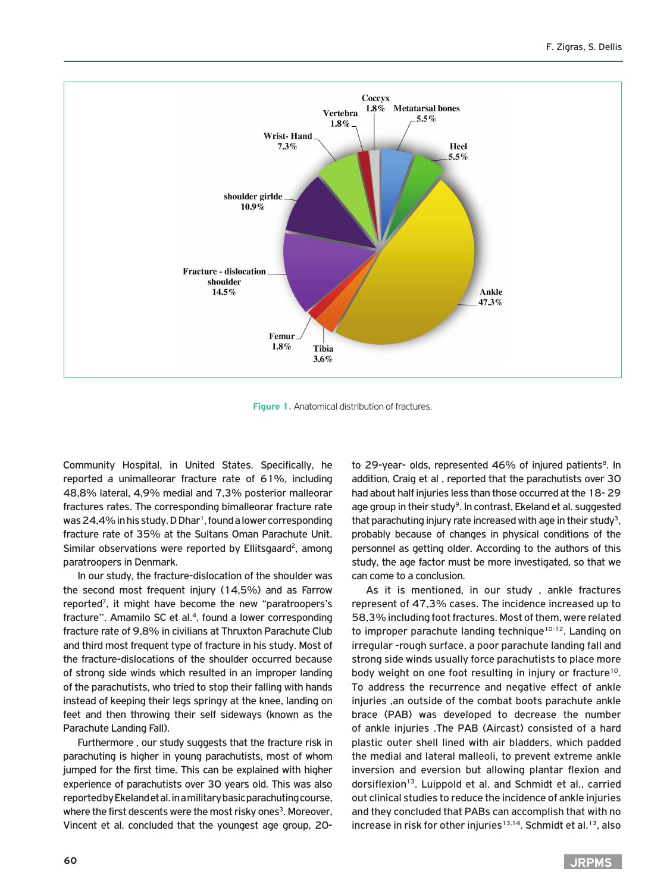

**Figure 1.** Anatomical distribution of fractures.

Community Hospital, in United States. Specifically, he reported a unimalleorar fracture rate of 61%, including 48,8% lateral, 4,9% medial and 7,3% posterior malleorar fractures rates. The corresponding bimalleorar fracture rate was 24,4% in his study. D Dhar<sup>1</sup>, found a lower corresponding fracture rate of 35% at the Sultans Oman Parachute Unit. Similar observations were reported by Ellitsgaard<sup>2</sup>, among paratroopers in Denmark.

In our study, the fracture-dislocation of the shoulder was the second most frequent injury (14,5%) and as Farrow reported7, it might have become the new "paratroopers's fracture". Amamilo SC et al.<sup>4</sup>, found a lower corresponding fracture rate of 9,8% in civilians at Thruxton Parachute Club and third most frequent type of fracture in his study. Most of the fracture-dislocations of the shoulder occurred because of strong side winds which resulted in an improper landing of the parachutists, who tried to stop their falling with hands instead of keeping their legs springy at the knee, landing on feet and then throwing their self sideways (known as the Parachute Landing Fall).

Furthermore , our study suggests that the fracture risk in parachuting is higher in young parachutists, most of whom jumped for the first time. This can be explained with higher experience of parachutists over 30 years old. This was also reported by Ekeland et al. in a military basic parachuting course, where the first descents were the most risky ones<sup>3</sup>. Moreover, Vincent et al. concluded that the youngest age group, 20to 29-year- olds, represented 46% of injured patients<sup>8</sup>. In addition, Craig et al , reported that the parachutists over 30 had about half injuries less than those occurred at the 18- 29 age group in their study<sup>9</sup>. In contrast, Ekeland et al. suggested that parachuting injury rate increased with age in their study<sup>3</sup>, probably because of changes in physical conditions of the personnel as getting older. According to the authors of this study, the age factor must be more investigated, so that we can come to a conclusion.

As it is mentioned, in our study , ankle fractures represent of 47,3% cases. The incidence increased up to 58,3% including foot fractures. Most of them, were related to improper parachute landing technique<sup>10-12</sup>. Landing on irregular -rough surface, a poor parachute landing fall and strong side winds usually force parachutists to place more body weight on one foot resulting in injury or fracture<sup>10</sup>. To address the recurrence and negative effect of ankle injuries ,an outside of the combat boots parachute ankle brace (PAB) was developed to decrease the number of ankle injuries .The PAB (Aircast) consisted of a hard plastic outer shell lined with air bladders, which padded the medial and lateral malleoli, to prevent extreme ankle inversion and eversion but allowing plantar flexion and dorsiflexion<sup>13</sup>. Luippold et al. and Schmidt et al., carried out clinical studies to reduce the incidence of ankle injuries and they concluded that PABs can accomplish that with no increase in risk for other injuries<sup>13,14</sup>. Schmidt et al.<sup>13</sup>, also